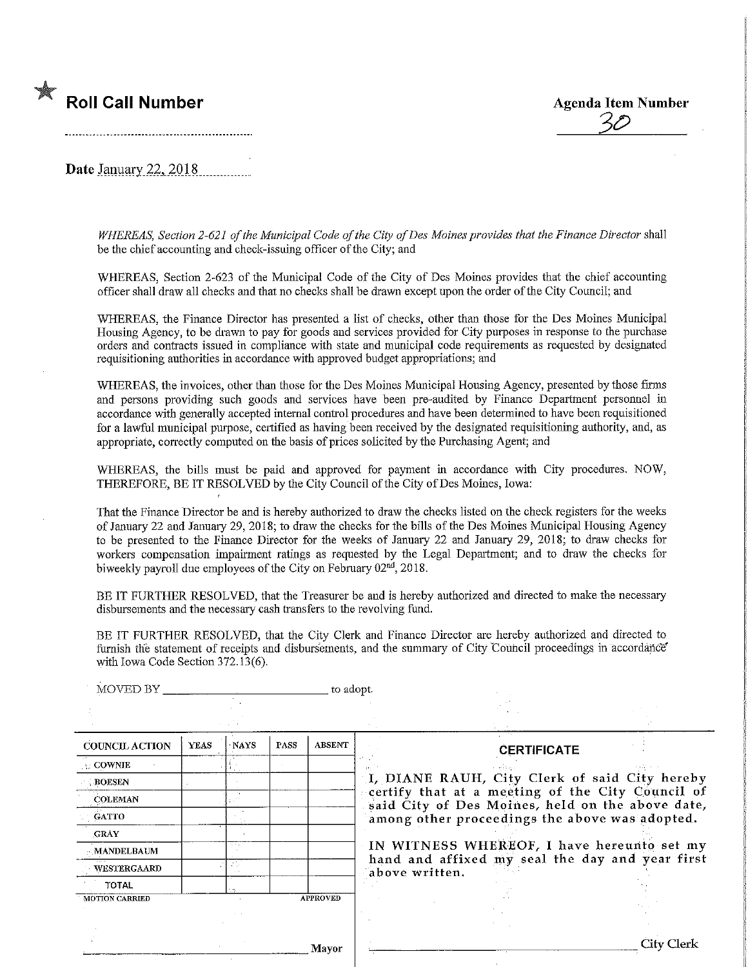# **Roll Call Number Agents Agents Agents Agents Agents Agents Agents Agents Agents Agents Agents Agents Agents Agents Agents Agents Agents Agents Agents Agents Agents Agents Agents Agents Agents Agents Agents Agents Agents A**

3£>

Date January 22, 2018

WHEREAS, Section 2-621 of the Municipal Code of the City of Des Moines provides that the Finance Director shall be the chief accounting and check-issuing officer of the City; and

WHEREAS, Section 2-623 of the Municipal Code of the City of Des Moines provides that the chief accounting officer shall draw all checks and that no checks shall be drawn except upon the order of the City Council; and

WHEREAS, the Finance Director has presented a list of checks, other than those for the Des Momes Municipal Housing Agency, to be drawn to pay for goods aud services provided for City purposes in response to the purchase orders and contracts issued in compliance with state and municipal code requirements as requested by designated requisitioning authorities in accordance with approved budget appropriations; and

WHEREAS, the invoices, other than those for the Des Moines Municipal Housing Agency, presented by those firms and persons providing such goods and services have been pre-audited by Finance Department personnel in accordance with generally accepted internal control procedures and have been determined to have been. requisitioned for a lawful municipal purpose, certified as having been received by the designated requisitioning authority, and, as appropriate, correctly computed on the basis of prices solicited by the Purchasing Agent; and

WHEREAS, the bills must be paid and approved for payment in accordance with City procedures. NOW, THEREFORE, BE IT RESOLVED by the City Council of the City of Des Moines, Iowa:

That the Finance Director be and is hereby authorized to draw the checks listed on the check registers for the weeks of January 22 and January 29, 2018; to draw the checks for the bills of the Des Moines Municipal Housing Agency to be presented to the Finance Director for the weeks of January 22 and January 29, 2018, to draw checks for workers compensation impairment ratings as requested by the Legal Department; and to draw the checks for biweekly payroll due employees of the City on February 02<sup>nd</sup>, 2018.

BE IT FURTHER RESOLVED, that the Treasurer be and is hereby authorized and directed to make the necessary disbursements and the necessary cash transfers to the revolving fund.

BE IT FURTHER RESOLVED, that the City Clerk and Finance Director are hereby authorized and directed to furnish the statement of receipts and disbursements, and the summary of City Council proceedings in accordance with Iowa Code Section 372.13(6).

| MOVED BY              | to adopt.   |             |             |                 |                                                                                                                                                        |            |  |
|-----------------------|-------------|-------------|-------------|-----------------|--------------------------------------------------------------------------------------------------------------------------------------------------------|------------|--|
|                       |             |             |             |                 |                                                                                                                                                        |            |  |
| <b>COUNCIL ACTION</b> | <b>YEAS</b> | <b>NAYS</b> | <b>PASS</b> | <b>ABSENT</b>   | <b>CERTIFICATE</b>                                                                                                                                     |            |  |
| <b>COWNIE</b>         |             |             |             |                 |                                                                                                                                                        |            |  |
| <b>BOESEN</b>         |             |             |             |                 | I, DIANE RAUH, City Clerk of said City hereby                                                                                                          |            |  |
| <b>COLEMAN</b>        |             |             |             |                 | certify that at a meeting of the City Council of<br>said City of Des Moines, held on the above date,<br>among other proceedings the above was adopted. |            |  |
| <b>GATTO</b>          |             |             |             |                 |                                                                                                                                                        |            |  |
| <b>CRAY</b>           |             |             |             |                 |                                                                                                                                                        |            |  |
| <b>MANDELBAUM</b>     |             |             |             |                 | IN WITNESS WHEREOF, I have hereunto set my                                                                                                             |            |  |
| WESTERGAARD           |             | 2000        |             |                 | hand and affixed my seal the day and year first<br>above written.                                                                                      |            |  |
| <b>TOTAL</b>          |             |             |             |                 |                                                                                                                                                        |            |  |
| <b>MOTION CARRIED</b> |             |             |             | <b>APPROVED</b> |                                                                                                                                                        |            |  |
|                       |             |             |             |                 |                                                                                                                                                        |            |  |
|                       |             |             |             |                 |                                                                                                                                                        |            |  |
|                       |             |             |             | Mayor           |                                                                                                                                                        | City Clerk |  |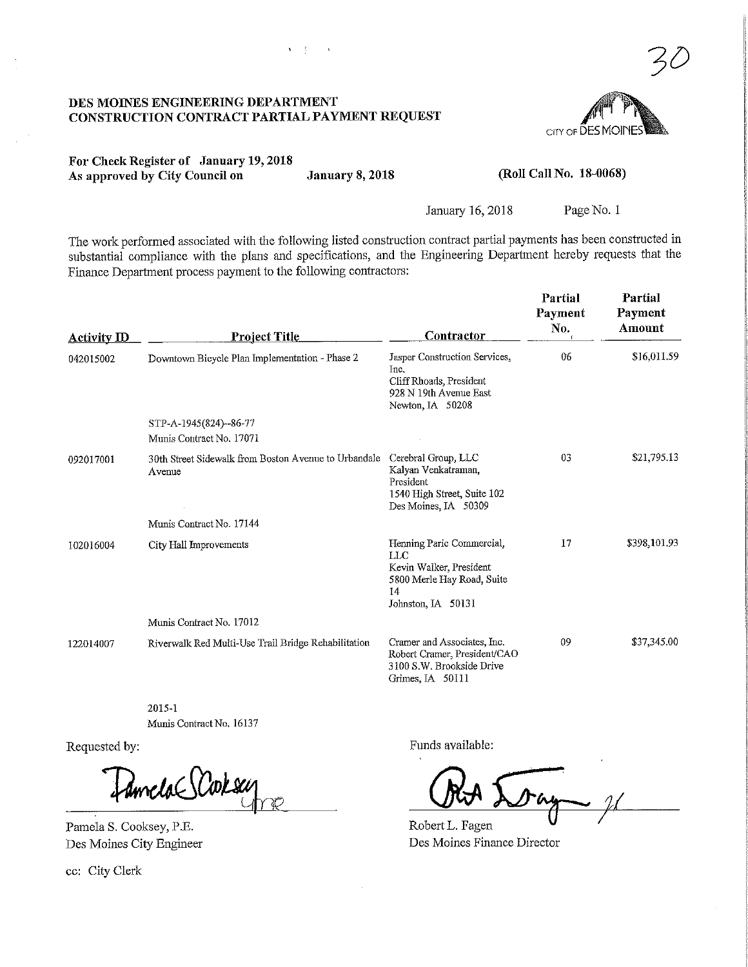#### DES MOINES ENGINEERING DEPARTMENT CONSTRUCTION CONTRACT PARTIAL PAYMENT REQUEST

 $\mathbf{y} = \sum_{i=1}^n y_i$  .  $\mathbf{y} = \mathbf{y}$ 



For Check Register of January 19,2018 As approved by City Council on January 8, 2018

(Roll Call No. 18-0068)

January 16,2018 Page No. 1

The work performed associated with the following listed construction contract partial payments has been constructed in substantial compliance with the plans and specifications, and the Engineering Department hereby requests that the Finance Department process payment to the following contractors:

| <b>Activity ID</b> | <b>Project Title</b>                                           | Contractor                                                                                                            | Partial<br>Payment<br>No. | Partial<br>Payment<br>Amount |
|--------------------|----------------------------------------------------------------|-----------------------------------------------------------------------------------------------------------------------|---------------------------|------------------------------|
| 042015002          | Downtown Bicycle Plan Implementation - Phase 2                 | Jasper Construction Services,<br>Inc.<br>Cliff Rhoads, President<br>928 N 19th Avenue East<br>Newton, IA 50208        | 06                        | \$16,011.59                  |
|                    | STP-A-1945(824)--86-77                                         |                                                                                                                       |                           |                              |
|                    | Munis Contract No. 17071                                       |                                                                                                                       |                           |                              |
| 092017001          | 30th Street Sidewalk from Boston Avenue to Urbandale<br>Avenue | Cerebral Group, LLC<br>Kalyan Venkatraman,<br>President<br>1540 High Street, Suite 102<br>Des Moines, IA 50309        | 03                        | \$21,795.13                  |
|                    | Munis Contract No. 17144                                       |                                                                                                                       |                           |                              |
| 102016004          | City Hall Improvements                                         | Henning Paric Commercial,<br>LLC<br>Kevin Walker, President<br>5800 Merle Hay Road, Suite<br>14<br>Johnston, IA 50131 | 17                        | \$398,101.93                 |
|                    | Munis Contract No. 17012                                       |                                                                                                                       |                           |                              |
| 122014007          | Riverwalk Red Multi-Use Trail Bridge Rehabilitation            | Cramer and Associates, Inc.<br>Robert Cramer, President/CAO<br>3100 S.W. Brookside Drive<br>Grimes, IA 50111          | 09                        | \$37,345.00                  |

2015-1 Munis Contract No. 16137

Requested by:

Amela SCorsu

Pamela S. Cooksey, P.E. Des Moines City Engineer

ec: City Clerk

Funds available:

Robert L. Fagen Des Moines Finance Director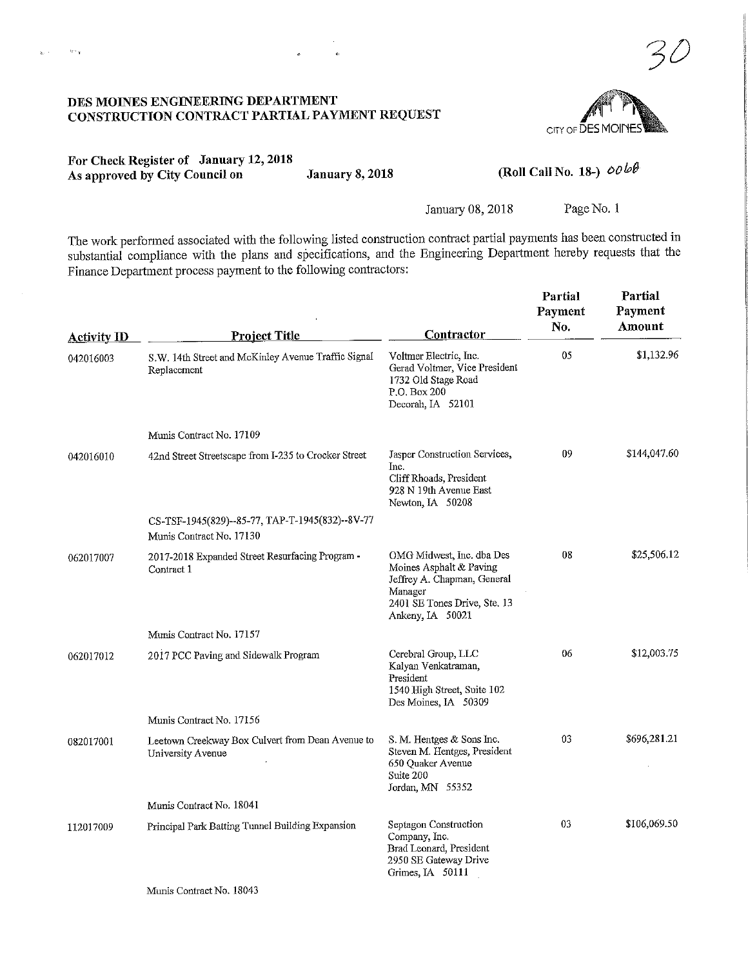### DES MOINES ENGINEERING DEPARTMENT CONSTRUCTION CONTRACT PARTIAL PAYMENT REQUEST



3D

For Check Register of January 12,2018 As approved by City Council on January 8, 2018

 $\mathbb{R}^{n\times q}$ 

## (Roll Call No. 18-)  $\omega \omega \omega \theta$

January 08, 2018 Page No. 1

The work performed associated with the following listed construction contract partial payments has been constructed in substantial compliance with the plans and specifications, and the Engineering Department hereby requests that the Finance Department process payment to the following contractors:

| <b>Activity ID</b> | <b>Project Title</b>                                                        | <b>Contractor</b>                                                                                                                                  | Partial<br>Payment<br>No. | Partial<br>Payment<br>Amount |
|--------------------|-----------------------------------------------------------------------------|----------------------------------------------------------------------------------------------------------------------------------------------------|---------------------------|------------------------------|
| 042016003          | S.W. 14th Street and McKinley Avenue Traffic Signal<br>Replacement          | Voltmer Electric, Inc.<br>Gerad Voltmer, Vice President<br>1732 Old Stage Road<br>P.O. Box 200<br>Decorah, IA 52101                                | 05                        | \$1,132.96                   |
|                    | Munis Contract No. 17109                                                    |                                                                                                                                                    |                           |                              |
| 042016010          | 42nd Street Streetscape from I-235 to Crocker Street                        | Jasper Construction Services,<br>Inc.<br>Cliff Rhoads, President<br>928 N 19th Avenue East<br>Newton, IA 50208                                     | 09                        | \$144,047.60                 |
|                    | CS-TSF-1945(829)--85-77, TAP-T-1945(832)--8V-77<br>Munis Contract No. 17130 |                                                                                                                                                    |                           |                              |
| 062017007          | 2017-2018 Expanded Street Resurfacing Program -<br>Contract 1               | OMG Midwest, Inc. dba Des<br>Moines Asphalt & Paving<br>Jeffrey A. Chapman, General<br>Manager<br>2401 SE Tones Drive, Ste. 13<br>Ankeny, IA 50021 | 08                        | \$25,506.12                  |
|                    | Munis Contract No. 17157                                                    |                                                                                                                                                    |                           |                              |
| 062017012          | 2017 PCC Paving and Sidewalk Program                                        | Cerebral Group, LLC<br>Kalyan Venkatraman,<br>President<br>1540 High Street, Suite 102<br>Des Moines, IA 50309                                     | 06                        | \$12,003.75                  |
|                    | Munis Contract No. 17156                                                    |                                                                                                                                                    |                           |                              |
| 082017001          | Leetown Creekway Box Culvert from Dean Avenue to<br>University Avenue       | S. M. Hentges & Sons Inc.<br>Steven M. Hentges, President<br>650 Quaker Avenue<br>Suite 200<br>Jordan, MN 55352                                    | 03                        | \$696,281.21                 |
|                    | Munis Contract No. 18041                                                    |                                                                                                                                                    |                           |                              |
| 112017009          | Principal Park Batting Tunnel Building Expansion                            | Septagon Construction<br>Company, Inc.<br>Brad Leonard, President<br>2950 SE Gateway Drive<br>Grimes, IA 50111                                     | 03                        | \$106,069.50                 |
|                    | Munis Contract No. 18043                                                    |                                                                                                                                                    |                           |                              |